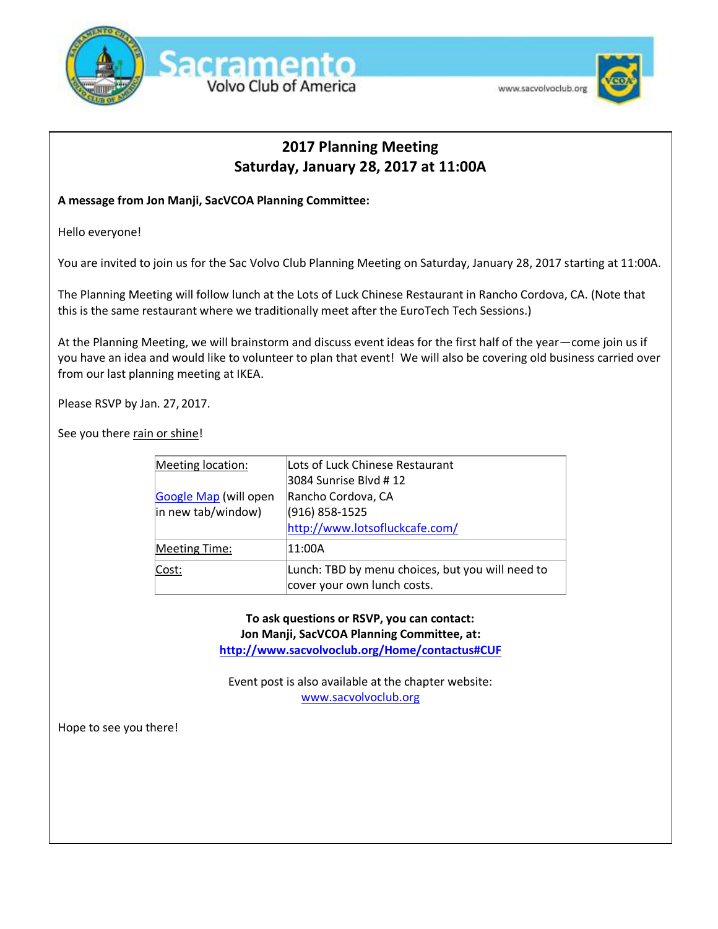

### www.sacvolvoclub.org



## **2017 Planning Meeting Saturday, January 28, 2017 at 11:00A**

## **A message from Jon Manji, SacVCOA Planning Committee:**

Hello everyone!

You are invited to join us for the Sac Volvo Club Planning Meeting on Saturday, January 28, 2017 starting at 11:00A.

The Planning Meeting will follow lunch at the Lots of Luck Chinese Restaurant in Rancho Cordova, CA. (Note that this is the same restaurant where we traditionally meet after the EuroTech Tech Sessions.)

At the Planning Meeting, we will brainstorm and discuss event ideas for the first half of the year—come join us if you have an idea and would like to volunteer to plan that event! We will also be covering old business carried over from our last planning meeting at IKEA.

Please RSVP by Jan. 27, 2017.

See you there rain or shine!

| Meeting location:     | Lots of Luck Chinese Restaurant                  |
|-----------------------|--------------------------------------------------|
|                       | 3084 Sunrise Blvd # 12                           |
| Google Map (will open | Rancho Cordova, CA                               |
| in new tab/window)    | (916) 858-1525                                   |
|                       | http://www.lotsofluckcafe.com/                   |
| <b>Meeting Time:</b>  | 11:00A                                           |
| Cost:                 | Lunch: TBD by menu choices, but you will need to |
|                       | cover your own lunch costs.                      |

**To ask questions or RSVP, you can contact: Jon Manji, SacVCOA Planning Committee, at: <http://www.sacvolvoclub.org/Home/contactus#CUF>**

Event post is also available at the chapter website: [www.sacvolvoclub.org](file:///C:/Users/Frys%20Electronics/AppData/Local/Temp/www.sacvolvoclub.org)

Hope to see you there!